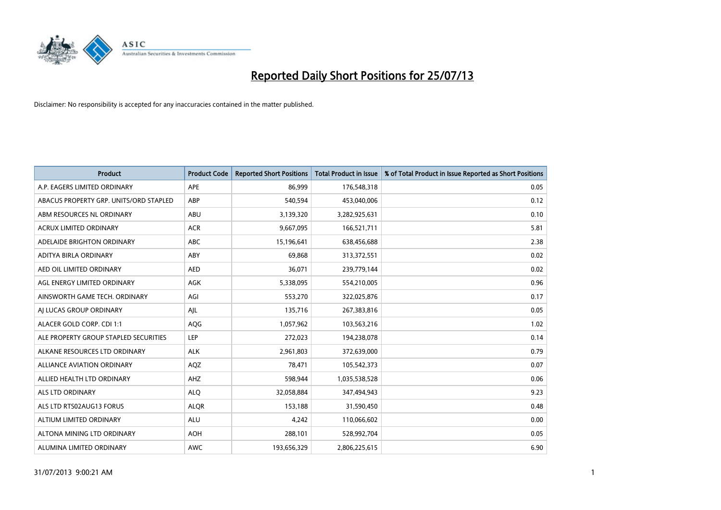

| <b>Product</b>                         | <b>Product Code</b> | <b>Reported Short Positions</b> | <b>Total Product in Issue</b> | % of Total Product in Issue Reported as Short Positions |
|----------------------------------------|---------------------|---------------------------------|-------------------------------|---------------------------------------------------------|
| A.P. EAGERS LIMITED ORDINARY           | APE                 | 86,999                          | 176,548,318                   | 0.05                                                    |
| ABACUS PROPERTY GRP. UNITS/ORD STAPLED | ABP                 | 540,594                         | 453,040,006                   | 0.12                                                    |
| ABM RESOURCES NL ORDINARY              | ABU                 | 3,139,320                       | 3,282,925,631                 | 0.10                                                    |
| ACRUX LIMITED ORDINARY                 | <b>ACR</b>          | 9,667,095                       | 166,521,711                   | 5.81                                                    |
| ADELAIDE BRIGHTON ORDINARY             | <b>ABC</b>          | 15,196,641                      | 638,456,688                   | 2.38                                                    |
| ADITYA BIRLA ORDINARY                  | ABY                 | 69,868                          | 313,372,551                   | 0.02                                                    |
| AED OIL LIMITED ORDINARY               | <b>AED</b>          | 36,071                          | 239,779,144                   | 0.02                                                    |
| AGL ENERGY LIMITED ORDINARY            | <b>AGK</b>          | 5,338,095                       | 554,210,005                   | 0.96                                                    |
| AINSWORTH GAME TECH. ORDINARY          | AGI                 | 553,270                         | 322,025,876                   | 0.17                                                    |
| AI LUCAS GROUP ORDINARY                | AJL                 | 135,716                         | 267,383,816                   | 0.05                                                    |
| ALACER GOLD CORP. CDI 1:1              | AQG                 | 1,057,962                       | 103,563,216                   | 1.02                                                    |
| ALE PROPERTY GROUP STAPLED SECURITIES  | LEP                 | 272,023                         | 194,238,078                   | 0.14                                                    |
| ALKANE RESOURCES LTD ORDINARY          | <b>ALK</b>          | 2,961,803                       | 372,639,000                   | 0.79                                                    |
| <b>ALLIANCE AVIATION ORDINARY</b>      | AQZ                 | 78.471                          | 105,542,373                   | 0.07                                                    |
| ALLIED HEALTH LTD ORDINARY             | AHZ                 | 598,944                         | 1,035,538,528                 | 0.06                                                    |
| <b>ALS LTD ORDINARY</b>                | <b>ALO</b>          | 32,058,884                      | 347,494,943                   | 9.23                                                    |
| ALS LTD RTS02AUG13 FORUS               | <b>ALQR</b>         | 153,188                         | 31,590,450                    | 0.48                                                    |
| ALTIUM LIMITED ORDINARY                | <b>ALU</b>          | 4,242                           | 110,066,602                   | 0.00                                                    |
| ALTONA MINING LTD ORDINARY             | <b>AOH</b>          | 288,101                         | 528,992,704                   | 0.05                                                    |
| ALUMINA LIMITED ORDINARY               | <b>AWC</b>          | 193,656,329                     | 2,806,225,615                 | 6.90                                                    |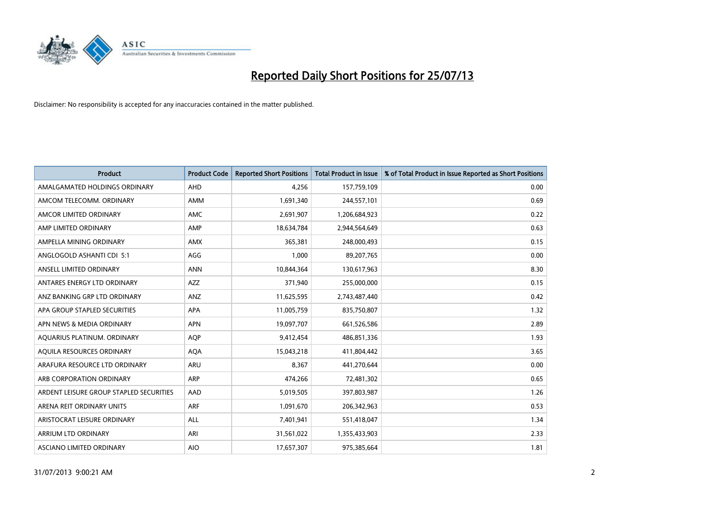

| <b>Product</b>                          | <b>Product Code</b> | <b>Reported Short Positions</b> | <b>Total Product in Issue</b> | % of Total Product in Issue Reported as Short Positions |
|-----------------------------------------|---------------------|---------------------------------|-------------------------------|---------------------------------------------------------|
| AMALGAMATED HOLDINGS ORDINARY           | <b>AHD</b>          | 4,256                           | 157,759,109                   | 0.00                                                    |
| AMCOM TELECOMM. ORDINARY                | <b>AMM</b>          | 1,691,340                       | 244,557,101                   | 0.69                                                    |
| AMCOR LIMITED ORDINARY                  | <b>AMC</b>          | 2,691,907                       | 1,206,684,923                 | 0.22                                                    |
| AMP LIMITED ORDINARY                    | AMP                 | 18,634,784                      | 2,944,564,649                 | 0.63                                                    |
| AMPELLA MINING ORDINARY                 | <b>AMX</b>          | 365,381                         | 248,000,493                   | 0.15                                                    |
| ANGLOGOLD ASHANTI CDI 5:1               | AGG                 | 1,000                           | 89,207,765                    | 0.00                                                    |
| ANSELL LIMITED ORDINARY                 | <b>ANN</b>          | 10,844,364                      | 130,617,963                   | 8.30                                                    |
| ANTARES ENERGY LTD ORDINARY             | <b>AZZ</b>          | 371,940                         | 255,000,000                   | 0.15                                                    |
| ANZ BANKING GRP LTD ORDINARY            | ANZ                 | 11,625,595                      | 2,743,487,440                 | 0.42                                                    |
| APA GROUP STAPLED SECURITIES            | <b>APA</b>          | 11,005,759                      | 835,750,807                   | 1.32                                                    |
| APN NEWS & MEDIA ORDINARY               | <b>APN</b>          | 19,097,707                      | 661,526,586                   | 2.89                                                    |
| AQUARIUS PLATINUM. ORDINARY             | <b>AOP</b>          | 9,412,454                       | 486,851,336                   | 1.93                                                    |
| AQUILA RESOURCES ORDINARY               | <b>AQA</b>          | 15,043,218                      | 411,804,442                   | 3.65                                                    |
| ARAFURA RESOURCE LTD ORDINARY           | <b>ARU</b>          | 8,367                           | 441,270,644                   | 0.00                                                    |
| ARB CORPORATION ORDINARY                | <b>ARP</b>          | 474,266                         | 72,481,302                    | 0.65                                                    |
| ARDENT LEISURE GROUP STAPLED SECURITIES | AAD                 | 5,019,505                       | 397,803,987                   | 1.26                                                    |
| ARENA REIT ORDINARY UNITS               | <b>ARF</b>          | 1,091,670                       | 206,342,963                   | 0.53                                                    |
| ARISTOCRAT LEISURE ORDINARY             | <b>ALL</b>          | 7,401,941                       | 551,418,047                   | 1.34                                                    |
| <b>ARRIUM LTD ORDINARY</b>              | ARI                 | 31,561,022                      | 1,355,433,903                 | 2.33                                                    |
| ASCIANO LIMITED ORDINARY                | <b>AIO</b>          | 17,657,307                      | 975,385,664                   | 1.81                                                    |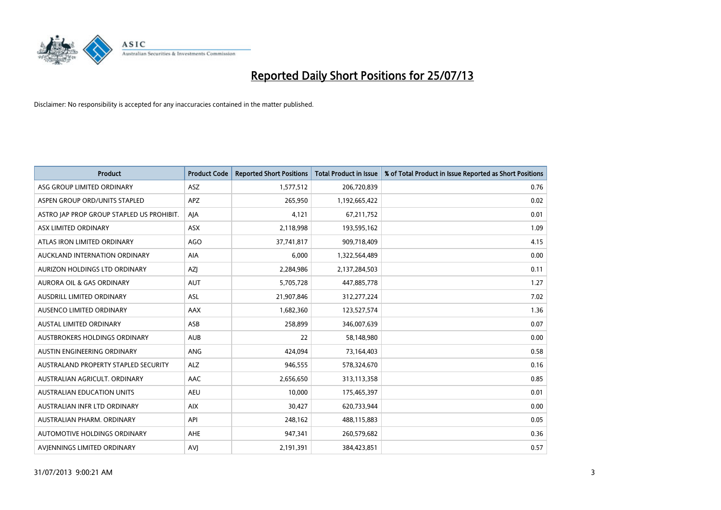

| <b>Product</b>                            | <b>Product Code</b> | <b>Reported Short Positions</b> | <b>Total Product in Issue</b> | % of Total Product in Issue Reported as Short Positions |
|-------------------------------------------|---------------------|---------------------------------|-------------------------------|---------------------------------------------------------|
| ASG GROUP LIMITED ORDINARY                | <b>ASZ</b>          | 1,577,512                       | 206,720,839                   | 0.76                                                    |
| ASPEN GROUP ORD/UNITS STAPLED             | <b>APZ</b>          | 265,950                         | 1,192,665,422                 | 0.02                                                    |
| ASTRO JAP PROP GROUP STAPLED US PROHIBIT. | AJA                 | 4,121                           | 67,211,752                    | 0.01                                                    |
| ASX LIMITED ORDINARY                      | ASX                 | 2,118,998                       | 193,595,162                   | 1.09                                                    |
| ATLAS IRON LIMITED ORDINARY               | <b>AGO</b>          | 37,741,817                      | 909,718,409                   | 4.15                                                    |
| AUCKLAND INTERNATION ORDINARY             | AIA                 | 6,000                           | 1,322,564,489                 | 0.00                                                    |
| AURIZON HOLDINGS LTD ORDINARY             | AZJ                 | 2,284,986                       | 2,137,284,503                 | 0.11                                                    |
| <b>AURORA OIL &amp; GAS ORDINARY</b>      | <b>AUT</b>          | 5,705,728                       | 447,885,778                   | 1.27                                                    |
| AUSDRILL LIMITED ORDINARY                 | ASL                 | 21,907,846                      | 312,277,224                   | 7.02                                                    |
| AUSENCO LIMITED ORDINARY                  | AAX                 | 1,682,360                       | 123,527,574                   | 1.36                                                    |
| AUSTAL LIMITED ORDINARY                   | ASB                 | 258,899                         | 346,007,639                   | 0.07                                                    |
| AUSTBROKERS HOLDINGS ORDINARY             | <b>AUB</b>          | 22                              | 58,148,980                    | 0.00                                                    |
| AUSTIN ENGINEERING ORDINARY               | <b>ANG</b>          | 424,094                         | 73,164,403                    | 0.58                                                    |
| AUSTRALAND PROPERTY STAPLED SECURITY      | <b>ALZ</b>          | 946,555                         | 578,324,670                   | 0.16                                                    |
| AUSTRALIAN AGRICULT, ORDINARY             | AAC                 | 2,656,650                       | 313,113,358                   | 0.85                                                    |
| <b>AUSTRALIAN EDUCATION UNITS</b>         | <b>AEU</b>          | 10,000                          | 175,465,397                   | 0.01                                                    |
| AUSTRALIAN INFR LTD ORDINARY              | <b>AIX</b>          | 30,427                          | 620,733,944                   | 0.00                                                    |
| AUSTRALIAN PHARM. ORDINARY                | API                 | 248,162                         | 488,115,883                   | 0.05                                                    |
| AUTOMOTIVE HOLDINGS ORDINARY              | <b>AHE</b>          | 947,341                         | 260,579,682                   | 0.36                                                    |
| AVIENNINGS LIMITED ORDINARY               | AVI                 | 2,191,391                       | 384,423,851                   | 0.57                                                    |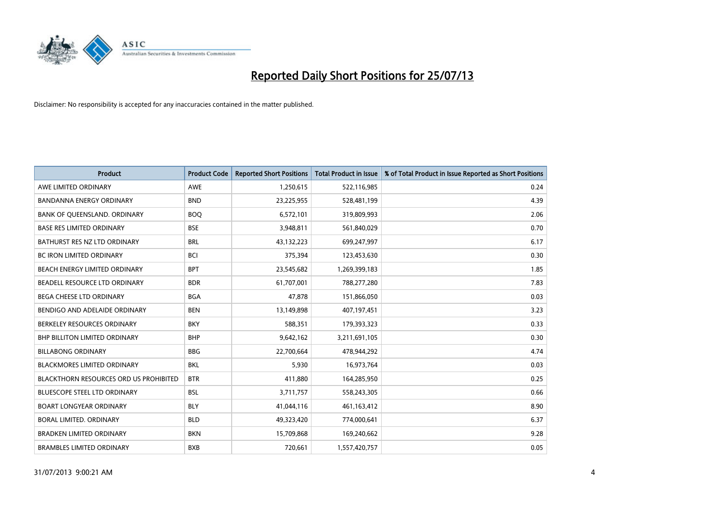

| <b>Product</b>                                | <b>Product Code</b> | <b>Reported Short Positions</b> | <b>Total Product in Issue</b> | % of Total Product in Issue Reported as Short Positions |
|-----------------------------------------------|---------------------|---------------------------------|-------------------------------|---------------------------------------------------------|
| AWE LIMITED ORDINARY                          | AWE                 | 1,250,615                       | 522,116,985                   | 0.24                                                    |
| BANDANNA ENERGY ORDINARY                      | <b>BND</b>          | 23,225,955                      | 528,481,199                   | 4.39                                                    |
| BANK OF QUEENSLAND. ORDINARY                  | <b>BOO</b>          | 6,572,101                       | 319,809,993                   | 2.06                                                    |
| <b>BASE RES LIMITED ORDINARY</b>              | <b>BSE</b>          | 3,948,811                       | 561,840,029                   | 0.70                                                    |
| BATHURST RES NZ LTD ORDINARY                  | <b>BRL</b>          | 43,132,223                      | 699,247,997                   | 6.17                                                    |
| <b>BC IRON LIMITED ORDINARY</b>               | <b>BCI</b>          | 375,394                         | 123,453,630                   | 0.30                                                    |
| <b>BEACH ENERGY LIMITED ORDINARY</b>          | <b>BPT</b>          | 23,545,682                      | 1,269,399,183                 | 1.85                                                    |
| BEADELL RESOURCE LTD ORDINARY                 | <b>BDR</b>          | 61,707,001                      | 788,277,280                   | 7.83                                                    |
| <b>BEGA CHEESE LTD ORDINARY</b>               | <b>BGA</b>          | 47,878                          | 151,866,050                   | 0.03                                                    |
| BENDIGO AND ADELAIDE ORDINARY                 | <b>BEN</b>          | 13,149,898                      | 407,197,451                   | 3.23                                                    |
| BERKELEY RESOURCES ORDINARY                   | <b>BKY</b>          | 588,351                         | 179,393,323                   | 0.33                                                    |
| <b>BHP BILLITON LIMITED ORDINARY</b>          | <b>BHP</b>          | 9,642,162                       | 3,211,691,105                 | 0.30                                                    |
| <b>BILLABONG ORDINARY</b>                     | <b>BBG</b>          | 22,700,664                      | 478,944,292                   | 4.74                                                    |
| <b>BLACKMORES LIMITED ORDINARY</b>            | <b>BKL</b>          | 5,930                           | 16,973,764                    | 0.03                                                    |
| <b>BLACKTHORN RESOURCES ORD US PROHIBITED</b> | <b>BTR</b>          | 411,880                         | 164,285,950                   | 0.25                                                    |
| BLUESCOPE STEEL LTD ORDINARY                  | <b>BSL</b>          | 3,711,757                       | 558,243,305                   | 0.66                                                    |
| <b>BOART LONGYEAR ORDINARY</b>                | <b>BLY</b>          | 41,044,116                      | 461,163,412                   | 8.90                                                    |
| BORAL LIMITED. ORDINARY                       | <b>BLD</b>          | 49,323,420                      | 774,000,641                   | 6.37                                                    |
| <b>BRADKEN LIMITED ORDINARY</b>               | <b>BKN</b>          | 15,709,868                      | 169,240,662                   | 9.28                                                    |
| <b>BRAMBLES LIMITED ORDINARY</b>              | <b>BXB</b>          | 720,661                         | 1,557,420,757                 | 0.05                                                    |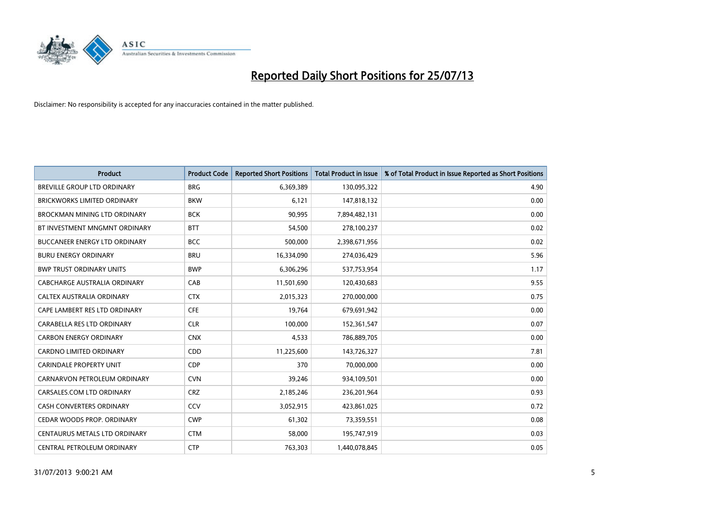

| <b>Product</b>                       | <b>Product Code</b> | <b>Reported Short Positions</b> | <b>Total Product in Issue</b> | % of Total Product in Issue Reported as Short Positions |
|--------------------------------------|---------------------|---------------------------------|-------------------------------|---------------------------------------------------------|
| <b>BREVILLE GROUP LTD ORDINARY</b>   | <b>BRG</b>          | 6,369,389                       | 130,095,322                   | 4.90                                                    |
| BRICKWORKS LIMITED ORDINARY          | <b>BKW</b>          | 6,121                           | 147,818,132                   | 0.00                                                    |
| <b>BROCKMAN MINING LTD ORDINARY</b>  | <b>BCK</b>          | 90,995                          | 7,894,482,131                 | 0.00                                                    |
| BT INVESTMENT MNGMNT ORDINARY        | <b>BTT</b>          | 54,500                          | 278,100,237                   | 0.02                                                    |
| <b>BUCCANEER ENERGY LTD ORDINARY</b> | <b>BCC</b>          | 500,000                         | 2,398,671,956                 | 0.02                                                    |
| <b>BURU ENERGY ORDINARY</b>          | <b>BRU</b>          | 16,334,090                      | 274,036,429                   | 5.96                                                    |
| <b>BWP TRUST ORDINARY UNITS</b>      | <b>BWP</b>          | 6,306,296                       | 537,753,954                   | 1.17                                                    |
| CABCHARGE AUSTRALIA ORDINARY         | CAB                 | 11,501,690                      | 120,430,683                   | 9.55                                                    |
| CALTEX AUSTRALIA ORDINARY            | <b>CTX</b>          | 2,015,323                       | 270,000,000                   | 0.75                                                    |
| CAPE LAMBERT RES LTD ORDINARY        | <b>CFE</b>          | 19,764                          | 679,691,942                   | 0.00                                                    |
| CARABELLA RES LTD ORDINARY           | <b>CLR</b>          | 100,000                         | 152,361,547                   | 0.07                                                    |
| <b>CARBON ENERGY ORDINARY</b>        | <b>CNX</b>          | 4,533                           | 786,889,705                   | 0.00                                                    |
| <b>CARDNO LIMITED ORDINARY</b>       | <b>CDD</b>          | 11,225,600                      | 143,726,327                   | 7.81                                                    |
| <b>CARINDALE PROPERTY UNIT</b>       | <b>CDP</b>          | 370                             | 70,000,000                    | 0.00                                                    |
| CARNARVON PETROLEUM ORDINARY         | <b>CVN</b>          | 39,246                          | 934,109,501                   | 0.00                                                    |
| CARSALES.COM LTD ORDINARY            | <b>CRZ</b>          | 2,185,246                       | 236,201,964                   | 0.93                                                    |
| <b>CASH CONVERTERS ORDINARY</b>      | <b>CCV</b>          | 3,052,915                       | 423,861,025                   | 0.72                                                    |
| CEDAR WOODS PROP. ORDINARY           | <b>CWP</b>          | 61,302                          | 73,359,551                    | 0.08                                                    |
| CENTAURUS METALS LTD ORDINARY        | <b>CTM</b>          | 58,000                          | 195,747,919                   | 0.03                                                    |
| CENTRAL PETROLEUM ORDINARY           | <b>CTP</b>          | 763,303                         | 1,440,078,845                 | 0.05                                                    |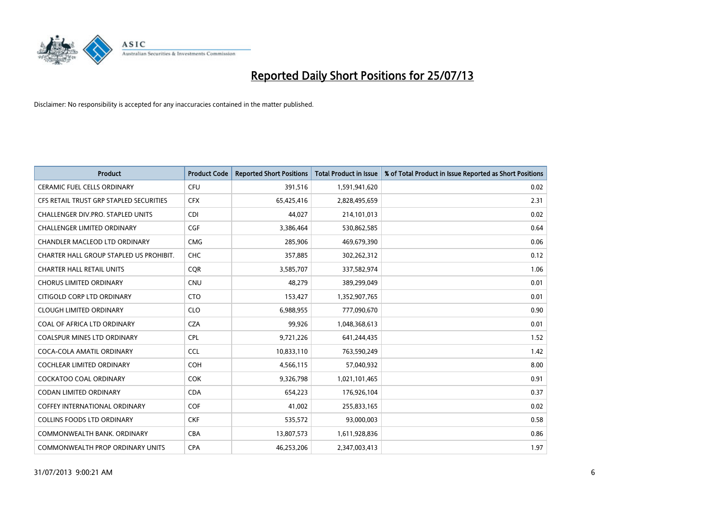

| <b>Product</b>                          | <b>Product Code</b> | <b>Reported Short Positions</b> | <b>Total Product in Issue</b> | % of Total Product in Issue Reported as Short Positions |
|-----------------------------------------|---------------------|---------------------------------|-------------------------------|---------------------------------------------------------|
| <b>CERAMIC FUEL CELLS ORDINARY</b>      | <b>CFU</b>          | 391,516                         | 1,591,941,620                 | 0.02                                                    |
| CFS RETAIL TRUST GRP STAPLED SECURITIES | <b>CFX</b>          | 65,425,416                      | 2,828,495,659                 | 2.31                                                    |
| CHALLENGER DIV.PRO. STAPLED UNITS       | <b>CDI</b>          | 44,027                          | 214,101,013                   | 0.02                                                    |
| CHALLENGER LIMITED ORDINARY             | <b>CGF</b>          | 3,386,464                       | 530,862,585                   | 0.64                                                    |
| <b>CHANDLER MACLEOD LTD ORDINARY</b>    | <b>CMG</b>          | 285,906                         | 469,679,390                   | 0.06                                                    |
| CHARTER HALL GROUP STAPLED US PROHIBIT. | <b>CHC</b>          | 357,885                         | 302,262,312                   | 0.12                                                    |
| <b>CHARTER HALL RETAIL UNITS</b>        | <b>COR</b>          | 3,585,707                       | 337,582,974                   | 1.06                                                    |
| <b>CHORUS LIMITED ORDINARY</b>          | <b>CNU</b>          | 48,279                          | 389,299,049                   | 0.01                                                    |
| CITIGOLD CORP LTD ORDINARY              | <b>CTO</b>          | 153,427                         | 1,352,907,765                 | 0.01                                                    |
| <b>CLOUGH LIMITED ORDINARY</b>          | <b>CLO</b>          | 6,988,955                       | 777,090,670                   | 0.90                                                    |
| COAL OF AFRICA LTD ORDINARY             | <b>CZA</b>          | 99,926                          | 1,048,368,613                 | 0.01                                                    |
| <b>COALSPUR MINES LTD ORDINARY</b>      | <b>CPL</b>          | 9,721,226                       | 641,244,435                   | 1.52                                                    |
| COCA-COLA AMATIL ORDINARY               | <b>CCL</b>          | 10,833,110                      | 763,590,249                   | 1.42                                                    |
| <b>COCHLEAR LIMITED ORDINARY</b>        | <b>COH</b>          | 4,566,115                       | 57,040,932                    | 8.00                                                    |
| <b>COCKATOO COAL ORDINARY</b>           | <b>COK</b>          | 9,326,798                       | 1,021,101,465                 | 0.91                                                    |
| <b>CODAN LIMITED ORDINARY</b>           | <b>CDA</b>          | 654,223                         | 176,926,104                   | 0.37                                                    |
| <b>COFFEY INTERNATIONAL ORDINARY</b>    | <b>COF</b>          | 41,002                          | 255,833,165                   | 0.02                                                    |
| <b>COLLINS FOODS LTD ORDINARY</b>       | <b>CKF</b>          | 535,572                         | 93,000,003                    | 0.58                                                    |
| COMMONWEALTH BANK, ORDINARY             | <b>CBA</b>          | 13,807,573                      | 1,611,928,836                 | 0.86                                                    |
| COMMONWEALTH PROP ORDINARY UNITS        | <b>CPA</b>          | 46.253.206                      | 2,347,003,413                 | 1.97                                                    |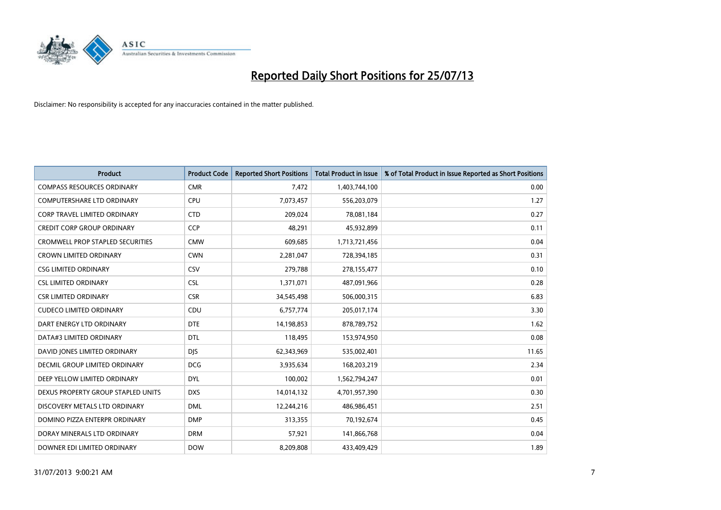

| <b>Product</b>                          | <b>Product Code</b> | <b>Reported Short Positions</b> | <b>Total Product in Issue</b> | % of Total Product in Issue Reported as Short Positions |
|-----------------------------------------|---------------------|---------------------------------|-------------------------------|---------------------------------------------------------|
| <b>COMPASS RESOURCES ORDINARY</b>       | <b>CMR</b>          | 7,472                           | 1,403,744,100                 | 0.00                                                    |
| COMPUTERSHARE LTD ORDINARY              | CPU                 | 7,073,457                       | 556,203,079                   | 1.27                                                    |
| <b>CORP TRAVEL LIMITED ORDINARY</b>     | <b>CTD</b>          | 209,024                         | 78,081,184                    | 0.27                                                    |
| CREDIT CORP GROUP ORDINARY              | <b>CCP</b>          | 48,291                          | 45,932,899                    | 0.11                                                    |
| <b>CROMWELL PROP STAPLED SECURITIES</b> | <b>CMW</b>          | 609,685                         | 1,713,721,456                 | 0.04                                                    |
| <b>CROWN LIMITED ORDINARY</b>           | <b>CWN</b>          | 2,281,047                       | 728,394,185                   | 0.31                                                    |
| <b>CSG LIMITED ORDINARY</b>             | CSV                 | 279,788                         | 278,155,477                   | 0.10                                                    |
| <b>CSL LIMITED ORDINARY</b>             | <b>CSL</b>          | 1,371,071                       | 487,091,966                   | 0.28                                                    |
| <b>CSR LIMITED ORDINARY</b>             | <b>CSR</b>          | 34,545,498                      | 506,000,315                   | 6.83                                                    |
| <b>CUDECO LIMITED ORDINARY</b>          | CDU                 | 6,757,774                       | 205,017,174                   | 3.30                                                    |
| DART ENERGY LTD ORDINARY                | <b>DTE</b>          | 14,198,853                      | 878,789,752                   | 1.62                                                    |
| DATA#3 LIMITED ORDINARY                 | <b>DTL</b>          | 118,495                         | 153,974,950                   | 0.08                                                    |
| DAVID JONES LIMITED ORDINARY            | <b>DJS</b>          | 62,343,969                      | 535,002,401                   | 11.65                                                   |
| <b>DECMIL GROUP LIMITED ORDINARY</b>    | <b>DCG</b>          | 3,935,634                       | 168,203,219                   | 2.34                                                    |
| DEEP YELLOW LIMITED ORDINARY            | <b>DYL</b>          | 100,002                         | 1,562,794,247                 | 0.01                                                    |
| DEXUS PROPERTY GROUP STAPLED UNITS      | <b>DXS</b>          | 14,014,132                      | 4,701,957,390                 | 0.30                                                    |
| DISCOVERY METALS LTD ORDINARY           | <b>DML</b>          | 12,244,216                      | 486,986,451                   | 2.51                                                    |
| DOMINO PIZZA ENTERPR ORDINARY           | <b>DMP</b>          | 313,355                         | 70,192,674                    | 0.45                                                    |
| DORAY MINERALS LTD ORDINARY             | <b>DRM</b>          | 57,921                          | 141,866,768                   | 0.04                                                    |
| DOWNER EDI LIMITED ORDINARY             | <b>DOW</b>          | 8,209,808                       | 433,409,429                   | 1.89                                                    |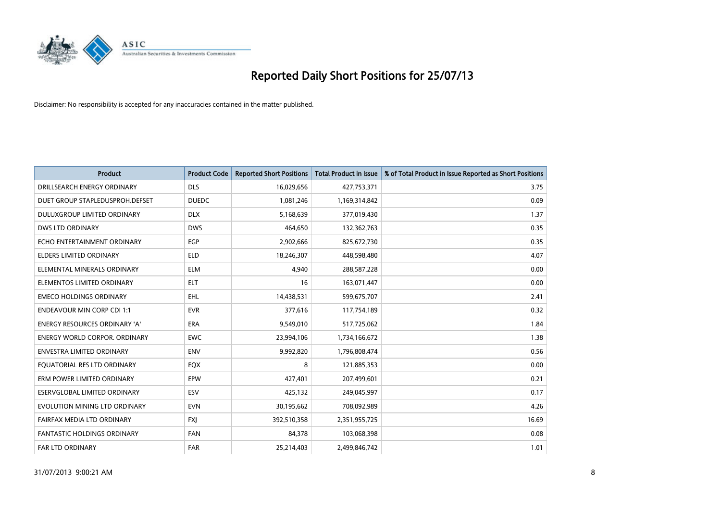

| <b>Product</b>                       | <b>Product Code</b> | <b>Reported Short Positions</b> | <b>Total Product in Issue</b> | % of Total Product in Issue Reported as Short Positions |
|--------------------------------------|---------------------|---------------------------------|-------------------------------|---------------------------------------------------------|
| DRILLSEARCH ENERGY ORDINARY          | <b>DLS</b>          | 16,029,656                      | 427,753,371                   | 3.75                                                    |
| DUET GROUP STAPLEDUSPROH.DEFSET      | <b>DUEDC</b>        | 1,081,246                       | 1,169,314,842                 | 0.09                                                    |
| DULUXGROUP LIMITED ORDINARY          | <b>DLX</b>          | 5,168,639                       | 377,019,430                   | 1.37                                                    |
| <b>DWS LTD ORDINARY</b>              | <b>DWS</b>          | 464,650                         | 132,362,763                   | 0.35                                                    |
| ECHO ENTERTAINMENT ORDINARY          | EGP                 | 2,902,666                       | 825,672,730                   | 0.35                                                    |
| <b>ELDERS LIMITED ORDINARY</b>       | <b>ELD</b>          | 18,246,307                      | 448,598,480                   | 4.07                                                    |
| ELEMENTAL MINERALS ORDINARY          | <b>ELM</b>          | 4.940                           | 288,587,228                   | 0.00                                                    |
| ELEMENTOS LIMITED ORDINARY           | <b>ELT</b>          | 16                              | 163,071,447                   | 0.00                                                    |
| <b>EMECO HOLDINGS ORDINARY</b>       | <b>EHL</b>          | 14,438,531                      | 599,675,707                   | 2.41                                                    |
| <b>ENDEAVOUR MIN CORP CDI 1:1</b>    | <b>EVR</b>          | 377,616                         | 117,754,189                   | 0.32                                                    |
| <b>ENERGY RESOURCES ORDINARY 'A'</b> | <b>ERA</b>          | 9,549,010                       | 517,725,062                   | 1.84                                                    |
| <b>ENERGY WORLD CORPOR, ORDINARY</b> | <b>EWC</b>          | 23,994,106                      | 1,734,166,672                 | 1.38                                                    |
| <b>ENVESTRA LIMITED ORDINARY</b>     | <b>ENV</b>          | 9,992,820                       | 1,796,808,474                 | 0.56                                                    |
| EQUATORIAL RES LTD ORDINARY          | <b>EQX</b>          | 8                               | 121,885,353                   | 0.00                                                    |
| ERM POWER LIMITED ORDINARY           | EPW                 | 427,401                         | 207,499,601                   | 0.21                                                    |
| <b>ESERVGLOBAL LIMITED ORDINARY</b>  | ESV                 | 425,132                         | 249,045,997                   | 0.17                                                    |
| EVOLUTION MINING LTD ORDINARY        | <b>EVN</b>          | 30,195,662                      | 708,092,989                   | 4.26                                                    |
| FAIRFAX MEDIA LTD ORDINARY           | <b>FXI</b>          | 392,510,358                     | 2,351,955,725                 | 16.69                                                   |
| <b>FANTASTIC HOLDINGS ORDINARY</b>   | <b>FAN</b>          | 84,378                          | 103,068,398                   | 0.08                                                    |
| <b>FAR LTD ORDINARY</b>              | <b>FAR</b>          | 25,214,403                      | 2.499.846.742                 | 1.01                                                    |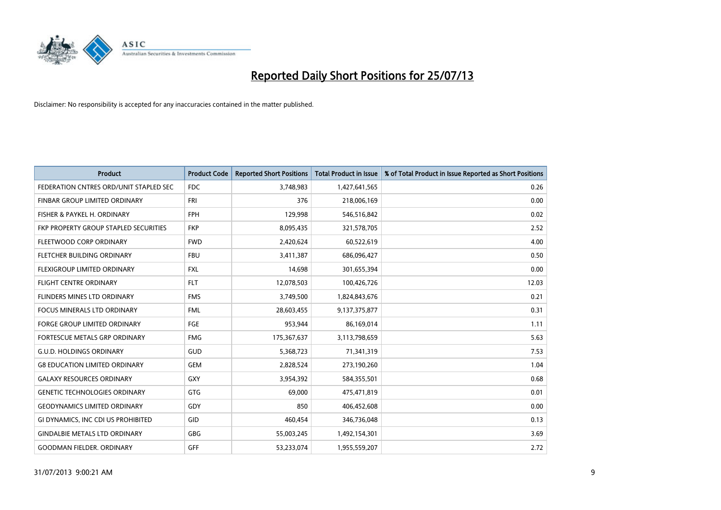

| <b>Product</b>                         | <b>Product Code</b> | <b>Reported Short Positions</b> | <b>Total Product in Issue</b> | % of Total Product in Issue Reported as Short Positions |
|----------------------------------------|---------------------|---------------------------------|-------------------------------|---------------------------------------------------------|
| FEDERATION CNTRES ORD/UNIT STAPLED SEC | <b>FDC</b>          | 3,748,983                       | 1,427,641,565                 | 0.26                                                    |
| FINBAR GROUP LIMITED ORDINARY          | <b>FRI</b>          | 376                             | 218,006,169                   | 0.00                                                    |
| FISHER & PAYKEL H. ORDINARY            | FPH                 | 129,998                         | 546,516,842                   | 0.02                                                    |
| FKP PROPERTY GROUP STAPLED SECURITIES  | <b>FKP</b>          | 8,095,435                       | 321,578,705                   | 2.52                                                    |
| FLEETWOOD CORP ORDINARY                | <b>FWD</b>          | 2,420,624                       | 60,522,619                    | 4.00                                                    |
| FLETCHER BUILDING ORDINARY             | <b>FBU</b>          | 3,411,387                       | 686,096,427                   | 0.50                                                    |
| <b>FLEXIGROUP LIMITED ORDINARY</b>     | <b>FXL</b>          | 14,698                          | 301,655,394                   | 0.00                                                    |
| FLIGHT CENTRE ORDINARY                 | <b>FLT</b>          | 12,078,503                      | 100,426,726                   | 12.03                                                   |
| FLINDERS MINES LTD ORDINARY            | <b>FMS</b>          | 3,749,500                       | 1,824,843,676                 | 0.21                                                    |
| <b>FOCUS MINERALS LTD ORDINARY</b>     | <b>FML</b>          | 28,603,455                      | 9,137,375,877                 | 0.31                                                    |
| FORGE GROUP LIMITED ORDINARY           | FGE                 | 953,944                         | 86,169,014                    | 1.11                                                    |
| FORTESCUE METALS GRP ORDINARY          | <b>FMG</b>          | 175,367,637                     | 3,113,798,659                 | 5.63                                                    |
| <b>G.U.D. HOLDINGS ORDINARY</b>        | GUD                 | 5,368,723                       | 71,341,319                    | 7.53                                                    |
| <b>G8 EDUCATION LIMITED ORDINARY</b>   | <b>GEM</b>          | 2,828,524                       | 273,190,260                   | 1.04                                                    |
| <b>GALAXY RESOURCES ORDINARY</b>       | <b>GXY</b>          | 3,954,392                       | 584,355,501                   | 0.68                                                    |
| <b>GENETIC TECHNOLOGIES ORDINARY</b>   | <b>GTG</b>          | 69.000                          | 475,471,819                   | 0.01                                                    |
| <b>GEODYNAMICS LIMITED ORDINARY</b>    | GDY                 | 850                             | 406,452,608                   | 0.00                                                    |
| GI DYNAMICS, INC CDI US PROHIBITED     | <b>GID</b>          | 460,454                         | 346,736,048                   | 0.13                                                    |
| <b>GINDALBIE METALS LTD ORDINARY</b>   | <b>GBG</b>          | 55,003,245                      | 1,492,154,301                 | 3.69                                                    |
| <b>GOODMAN FIELDER. ORDINARY</b>       | <b>GFF</b>          | 53,233,074                      | 1,955,559,207                 | 2.72                                                    |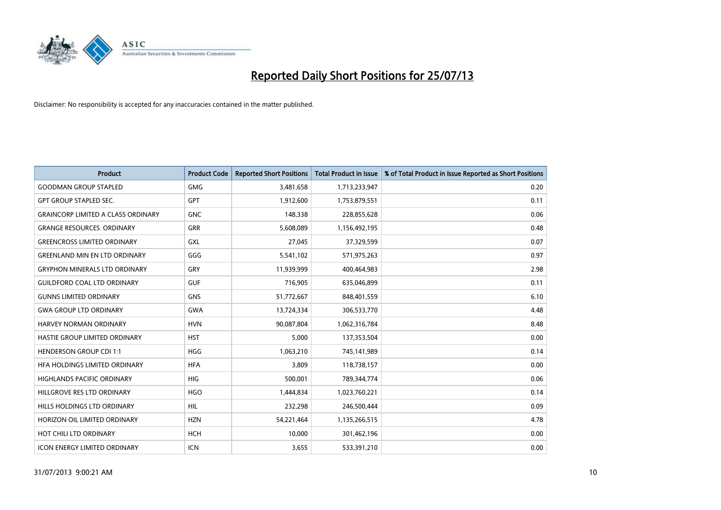

| <b>Product</b>                            | <b>Product Code</b> | <b>Reported Short Positions</b> | <b>Total Product in Issue</b> | % of Total Product in Issue Reported as Short Positions |
|-------------------------------------------|---------------------|---------------------------------|-------------------------------|---------------------------------------------------------|
| <b>GOODMAN GROUP STAPLED</b>              | <b>GMG</b>          | 3,481,658                       | 1,713,233,947                 | 0.20                                                    |
| <b>GPT GROUP STAPLED SEC.</b>             | <b>GPT</b>          | 1,912,600                       | 1,753,879,551                 | 0.11                                                    |
| <b>GRAINCORP LIMITED A CLASS ORDINARY</b> | <b>GNC</b>          | 148,338                         | 228,855,628                   | 0.06                                                    |
| <b>GRANGE RESOURCES. ORDINARY</b>         | <b>GRR</b>          | 5,608,089                       | 1,156,492,195                 | 0.48                                                    |
| <b>GREENCROSS LIMITED ORDINARY</b>        | GXL                 | 27,045                          | 37,329,599                    | 0.07                                                    |
| <b>GREENLAND MIN EN LTD ORDINARY</b>      | GGG                 | 5,541,102                       | 571,975,263                   | 0.97                                                    |
| <b>GRYPHON MINERALS LTD ORDINARY</b>      | GRY                 | 11,939,999                      | 400,464,983                   | 2.98                                                    |
| <b>GUILDFORD COAL LTD ORDINARY</b>        | <b>GUF</b>          | 716,905                         | 635,046,899                   | 0.11                                                    |
| <b>GUNNS LIMITED ORDINARY</b>             | <b>GNS</b>          | 51,772,667                      | 848,401,559                   | 6.10                                                    |
| <b>GWA GROUP LTD ORDINARY</b>             | <b>GWA</b>          | 13,724,334                      | 306,533,770                   | 4.48                                                    |
| HARVEY NORMAN ORDINARY                    | <b>HVN</b>          | 90,087,804                      | 1,062,316,784                 | 8.48                                                    |
| HASTIE GROUP LIMITED ORDINARY             | <b>HST</b>          | 5,000                           | 137,353,504                   | 0.00                                                    |
| <b>HENDERSON GROUP CDI 1:1</b>            | <b>HGG</b>          | 1,063,210                       | 745,141,989                   | 0.14                                                    |
| HFA HOLDINGS LIMITED ORDINARY             | <b>HFA</b>          | 3.809                           | 118,738,157                   | 0.00                                                    |
| <b>HIGHLANDS PACIFIC ORDINARY</b>         | <b>HIG</b>          | 500,001                         | 789,344,774                   | 0.06                                                    |
| HILLGROVE RES LTD ORDINARY                | <b>HGO</b>          | 1,444,834                       | 1,023,760,221                 | 0.14                                                    |
| HILLS HOLDINGS LTD ORDINARY               | <b>HIL</b>          | 232,298                         | 246,500,444                   | 0.09                                                    |
| HORIZON OIL LIMITED ORDINARY              | <b>HZN</b>          | 54,221,464                      | 1,135,266,515                 | 4.78                                                    |
| HOT CHILI LTD ORDINARY                    | <b>HCH</b>          | 10,000                          | 301,462,196                   | 0.00                                                    |
| <b>ICON ENERGY LIMITED ORDINARY</b>       | <b>ICN</b>          | 3,655                           | 533,391,210                   | 0.00                                                    |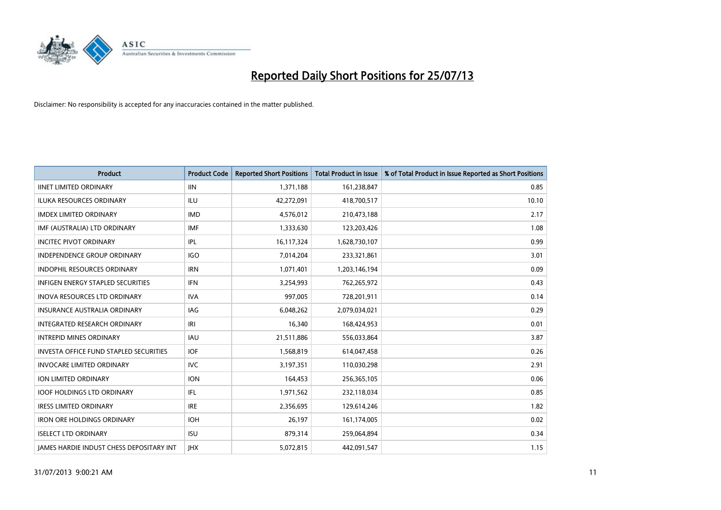

| <b>Product</b>                                  | <b>Product Code</b> | <b>Reported Short Positions</b> | <b>Total Product in Issue</b> | % of Total Product in Issue Reported as Short Positions |
|-------------------------------------------------|---------------------|---------------------------------|-------------------------------|---------------------------------------------------------|
| <b>IINET LIMITED ORDINARY</b>                   | <b>IIN</b>          | 1,371,188                       | 161,238,847                   | 0.85                                                    |
| ILUKA RESOURCES ORDINARY                        | ILU                 | 42,272,091                      | 418,700,517                   | 10.10                                                   |
| <b>IMDEX LIMITED ORDINARY</b>                   | <b>IMD</b>          | 4,576,012                       | 210,473,188                   | 2.17                                                    |
| IMF (AUSTRALIA) LTD ORDINARY                    | <b>IMF</b>          | 1,333,630                       | 123,203,426                   | 1.08                                                    |
| <b>INCITEC PIVOT ORDINARY</b>                   | IPL                 | 16,117,324                      | 1,628,730,107                 | 0.99                                                    |
| <b>INDEPENDENCE GROUP ORDINARY</b>              | <b>IGO</b>          | 7,014,204                       | 233,321,861                   | 3.01                                                    |
| <b>INDOPHIL RESOURCES ORDINARY</b>              | <b>IRN</b>          | 1,071,401                       | 1,203,146,194                 | 0.09                                                    |
| INFIGEN ENERGY STAPLED SECURITIES               | <b>IFN</b>          | 3,254,993                       | 762,265,972                   | 0.43                                                    |
| INOVA RESOURCES LTD ORDINARY                    | <b>IVA</b>          | 997,005                         | 728,201,911                   | 0.14                                                    |
| <b>INSURANCE AUSTRALIA ORDINARY</b>             | <b>IAG</b>          | 6,048,262                       | 2,079,034,021                 | 0.29                                                    |
| INTEGRATED RESEARCH ORDINARY                    | IRI                 | 16,340                          | 168,424,953                   | 0.01                                                    |
| <b>INTREPID MINES ORDINARY</b>                  | <b>IAU</b>          | 21,511,886                      | 556,033,864                   | 3.87                                                    |
| <b>INVESTA OFFICE FUND STAPLED SECURITIES</b>   | <b>IOF</b>          | 1,568,819                       | 614,047,458                   | 0.26                                                    |
| <b>INVOCARE LIMITED ORDINARY</b>                | <b>IVC</b>          | 3,197,351                       | 110,030,298                   | 2.91                                                    |
| ION LIMITED ORDINARY                            | <b>ION</b>          | 164,453                         | 256,365,105                   | 0.06                                                    |
| <b>IOOF HOLDINGS LTD ORDINARY</b>               | IFL.                | 1,971,562                       | 232,118,034                   | 0.85                                                    |
| <b>IRESS LIMITED ORDINARY</b>                   | <b>IRE</b>          | 2,356,695                       | 129,614,246                   | 1.82                                                    |
| <b>IRON ORE HOLDINGS ORDINARY</b>               | <b>IOH</b>          | 26,197                          | 161,174,005                   | 0.02                                                    |
| <b>ISELECT LTD ORDINARY</b>                     | <b>ISU</b>          | 879,314                         | 259,064,894                   | 0.34                                                    |
| <b>IAMES HARDIE INDUST CHESS DEPOSITARY INT</b> | <b>IHX</b>          | 5,072,815                       | 442.091.547                   | 1.15                                                    |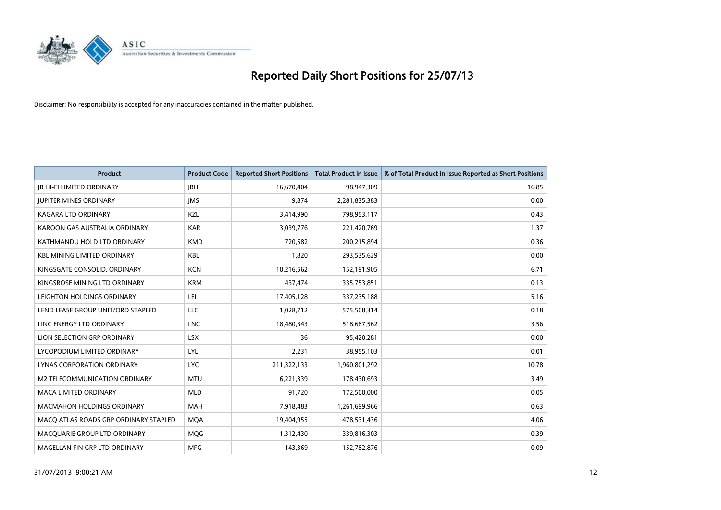

| <b>Product</b>                        | <b>Product Code</b> | <b>Reported Short Positions</b> | <b>Total Product in Issue</b> | % of Total Product in Issue Reported as Short Positions |
|---------------------------------------|---------------------|---------------------------------|-------------------------------|---------------------------------------------------------|
| <b>IB HI-FI LIMITED ORDINARY</b>      | <b>IBH</b>          | 16,670,404                      | 98,947,309                    | 16.85                                                   |
| <b>JUPITER MINES ORDINARY</b>         | <b>IMS</b>          | 9,874                           | 2,281,835,383                 | 0.00                                                    |
| <b>KAGARA LTD ORDINARY</b>            | <b>KZL</b>          | 3,414,990                       | 798,953,117                   | 0.43                                                    |
| KAROON GAS AUSTRALIA ORDINARY         | <b>KAR</b>          | 3,039,776                       | 221,420,769                   | 1.37                                                    |
| KATHMANDU HOLD LTD ORDINARY           | <b>KMD</b>          | 720,582                         | 200,215,894                   | 0.36                                                    |
| <b>KBL MINING LIMITED ORDINARY</b>    | <b>KBL</b>          | 1,820                           | 293,535,629                   | 0.00                                                    |
| KINGSGATE CONSOLID. ORDINARY          | <b>KCN</b>          | 10,216,562                      | 152,191,905                   | 6.71                                                    |
| KINGSROSE MINING LTD ORDINARY         | <b>KRM</b>          | 437,474                         | 335,753,851                   | 0.13                                                    |
| LEIGHTON HOLDINGS ORDINARY            | LEI                 | 17,405,128                      | 337,235,188                   | 5.16                                                    |
| LEND LEASE GROUP UNIT/ORD STAPLED     | <b>LLC</b>          | 1,028,712                       | 575,508,314                   | 0.18                                                    |
| LINC ENERGY LTD ORDINARY              | <b>LNC</b>          | 18,480,343                      | 518,687,562                   | 3.56                                                    |
| LION SELECTION GRP ORDINARY           | <b>LSX</b>          | 36                              | 95,420,281                    | 0.00                                                    |
| LYCOPODIUM LIMITED ORDINARY           | LYL                 | 2,231                           | 38,955,103                    | 0.01                                                    |
| <b>LYNAS CORPORATION ORDINARY</b>     | <b>LYC</b>          | 211,322,133                     | 1,960,801,292                 | 10.78                                                   |
| M2 TELECOMMUNICATION ORDINARY         | <b>MTU</b>          | 6,221,339                       | 178,430,693                   | 3.49                                                    |
| <b>MACA LIMITED ORDINARY</b>          | <b>MLD</b>          | 91,720                          | 172,500,000                   | 0.05                                                    |
| <b>MACMAHON HOLDINGS ORDINARY</b>     | <b>MAH</b>          | 7,918,483                       | 1,261,699,966                 | 0.63                                                    |
| MACQ ATLAS ROADS GRP ORDINARY STAPLED | <b>MQA</b>          | 19,404,955                      | 478,531,436                   | 4.06                                                    |
| MACQUARIE GROUP LTD ORDINARY          | <b>MOG</b>          | 1,312,430                       | 339,816,303                   | 0.39                                                    |
| MAGELLAN FIN GRP LTD ORDINARY         | <b>MFG</b>          | 143,369                         | 152,782,876                   | 0.09                                                    |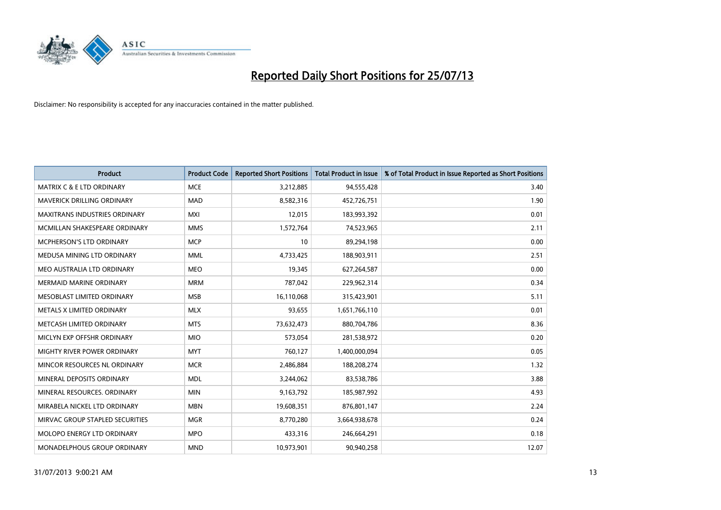

| <b>Product</b>                       | <b>Product Code</b> | <b>Reported Short Positions</b> | <b>Total Product in Issue</b> | % of Total Product in Issue Reported as Short Positions |
|--------------------------------------|---------------------|---------------------------------|-------------------------------|---------------------------------------------------------|
| <b>MATRIX C &amp; E LTD ORDINARY</b> | <b>MCE</b>          | 3,212,885                       | 94,555,428                    | 3.40                                                    |
| <b>MAVERICK DRILLING ORDINARY</b>    | <b>MAD</b>          | 8,582,316                       | 452,726,751                   | 1.90                                                    |
| <b>MAXITRANS INDUSTRIES ORDINARY</b> | <b>MXI</b>          | 12,015                          | 183,993,392                   | 0.01                                                    |
| MCMILLAN SHAKESPEARE ORDINARY        | <b>MMS</b>          | 1,572,764                       | 74,523,965                    | 2.11                                                    |
| <b>MCPHERSON'S LTD ORDINARY</b>      | <b>MCP</b>          | 10                              | 89,294,198                    | 0.00                                                    |
| MEDUSA MINING LTD ORDINARY           | <b>MML</b>          | 4,733,425                       | 188,903,911                   | 2.51                                                    |
| MEO AUSTRALIA LTD ORDINARY           | <b>MEO</b>          | 19,345                          | 627,264,587                   | 0.00                                                    |
| <b>MERMAID MARINE ORDINARY</b>       | <b>MRM</b>          | 787,042                         | 229,962,314                   | 0.34                                                    |
| MESOBLAST LIMITED ORDINARY           | <b>MSB</b>          | 16,110,068                      | 315,423,901                   | 5.11                                                    |
| METALS X LIMITED ORDINARY            | <b>MLX</b>          | 93,655                          | 1,651,766,110                 | 0.01                                                    |
| METCASH LIMITED ORDINARY             | <b>MTS</b>          | 73,632,473                      | 880,704,786                   | 8.36                                                    |
| MICLYN EXP OFFSHR ORDINARY           | <b>MIO</b>          | 573,054                         | 281,538,972                   | 0.20                                                    |
| MIGHTY RIVER POWER ORDINARY          | <b>MYT</b>          | 760,127                         | 1,400,000,094                 | 0.05                                                    |
| MINCOR RESOURCES NL ORDINARY         | <b>MCR</b>          | 2,486,884                       | 188,208,274                   | 1.32                                                    |
| MINERAL DEPOSITS ORDINARY            | <b>MDL</b>          | 3,244,062                       | 83,538,786                    | 3.88                                                    |
| MINERAL RESOURCES. ORDINARY          | <b>MIN</b>          | 9,163,792                       | 185,987,992                   | 4.93                                                    |
| MIRABELA NICKEL LTD ORDINARY         | <b>MBN</b>          | 19,608,351                      | 876,801,147                   | 2.24                                                    |
| MIRVAC GROUP STAPLED SECURITIES      | <b>MGR</b>          | 8,770,280                       | 3,664,938,678                 | 0.24                                                    |
| <b>MOLOPO ENERGY LTD ORDINARY</b>    | <b>MPO</b>          | 433,316                         | 246,664,291                   | 0.18                                                    |
| MONADELPHOUS GROUP ORDINARY          | <b>MND</b>          | 10,973,901                      | 90,940,258                    | 12.07                                                   |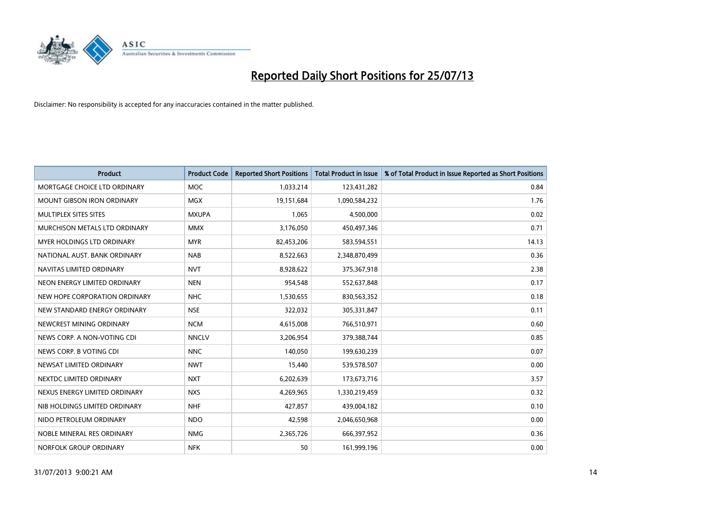

| <b>Product</b>                    | <b>Product Code</b> | <b>Reported Short Positions</b> | <b>Total Product in Issue</b> | % of Total Product in Issue Reported as Short Positions |
|-----------------------------------|---------------------|---------------------------------|-------------------------------|---------------------------------------------------------|
| MORTGAGE CHOICE LTD ORDINARY      | <b>MOC</b>          | 1,033,214                       | 123,431,282                   | 0.84                                                    |
| <b>MOUNT GIBSON IRON ORDINARY</b> | <b>MGX</b>          | 19,151,684                      | 1,090,584,232                 | 1.76                                                    |
| MULTIPLEX SITES SITES             | <b>MXUPA</b>        | 1,065                           | 4,500,000                     | 0.02                                                    |
| MURCHISON METALS LTD ORDINARY     | <b>MMX</b>          | 3,176,050                       | 450,497,346                   | 0.71                                                    |
| <b>MYER HOLDINGS LTD ORDINARY</b> | <b>MYR</b>          | 82,453,206                      | 583,594,551                   | 14.13                                                   |
| NATIONAL AUST. BANK ORDINARY      | <b>NAB</b>          | 8,522,663                       | 2,348,870,499                 | 0.36                                                    |
| NAVITAS LIMITED ORDINARY          | <b>NVT</b>          | 8,928,622                       | 375,367,918                   | 2.38                                                    |
| NEON ENERGY LIMITED ORDINARY      | <b>NEN</b>          | 954,548                         | 552,637,848                   | 0.17                                                    |
| NEW HOPE CORPORATION ORDINARY     | <b>NHC</b>          | 1,530,655                       | 830,563,352                   | 0.18                                                    |
| NEW STANDARD ENERGY ORDINARY      | <b>NSE</b>          | 322,032                         | 305,331,847                   | 0.11                                                    |
| NEWCREST MINING ORDINARY          | <b>NCM</b>          | 4,615,008                       | 766,510,971                   | 0.60                                                    |
| NEWS CORP. A NON-VOTING CDI       | <b>NNCLV</b>        | 3,206,954                       | 379,388,744                   | 0.85                                                    |
| NEWS CORP. B VOTING CDI           | <b>NNC</b>          | 140,050                         | 199,630,239                   | 0.07                                                    |
| NEWSAT LIMITED ORDINARY           | <b>NWT</b>          | 15,440                          | 539,578,507                   | 0.00                                                    |
| NEXTDC LIMITED ORDINARY           | <b>NXT</b>          | 6,202,639                       | 173,673,716                   | 3.57                                                    |
| NEXUS ENERGY LIMITED ORDINARY     | <b>NXS</b>          | 4,269,965                       | 1,330,219,459                 | 0.32                                                    |
| NIB HOLDINGS LIMITED ORDINARY     | <b>NHF</b>          | 427,857                         | 439,004,182                   | 0.10                                                    |
| NIDO PETROLEUM ORDINARY           | <b>NDO</b>          | 42,598                          | 2,046,650,968                 | 0.00                                                    |
| NOBLE MINERAL RES ORDINARY        | <b>NMG</b>          | 2,365,726                       | 666,397,952                   | 0.36                                                    |
| NORFOLK GROUP ORDINARY            | <b>NFK</b>          | 50                              | 161,999,196                   | 0.00                                                    |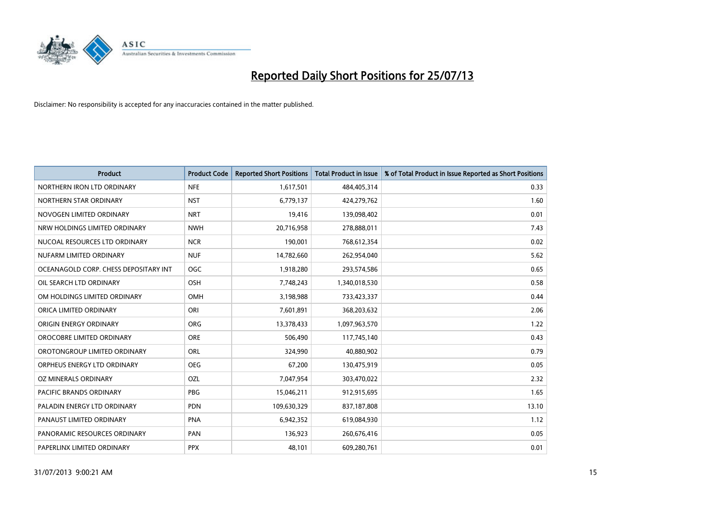

| <b>Product</b>                        | <b>Product Code</b> | <b>Reported Short Positions</b> | <b>Total Product in Issue</b> | % of Total Product in Issue Reported as Short Positions |
|---------------------------------------|---------------------|---------------------------------|-------------------------------|---------------------------------------------------------|
| NORTHERN IRON LTD ORDINARY            | <b>NFE</b>          | 1,617,501                       | 484,405,314                   | 0.33                                                    |
| NORTHERN STAR ORDINARY                | <b>NST</b>          | 6,779,137                       | 424,279,762                   | 1.60                                                    |
| NOVOGEN LIMITED ORDINARY              | <b>NRT</b>          | 19,416                          | 139,098,402                   | 0.01                                                    |
| NRW HOLDINGS LIMITED ORDINARY         | <b>NWH</b>          | 20,716,958                      | 278,888,011                   | 7.43                                                    |
| NUCOAL RESOURCES LTD ORDINARY         | <b>NCR</b>          | 190,001                         | 768,612,354                   | 0.02                                                    |
| NUFARM LIMITED ORDINARY               | <b>NUF</b>          | 14,782,660                      | 262,954,040                   | 5.62                                                    |
| OCEANAGOLD CORP. CHESS DEPOSITARY INT | <b>OGC</b>          | 1,918,280                       | 293,574,586                   | 0.65                                                    |
| OIL SEARCH LTD ORDINARY               | OSH                 | 7,748,243                       | 1,340,018,530                 | 0.58                                                    |
| OM HOLDINGS LIMITED ORDINARY          | <b>OMH</b>          | 3,198,988                       | 733,423,337                   | 0.44                                                    |
| ORICA LIMITED ORDINARY                | ORI                 | 7,601,891                       | 368,203,632                   | 2.06                                                    |
| ORIGIN ENERGY ORDINARY                | <b>ORG</b>          | 13,378,433                      | 1,097,963,570                 | 1.22                                                    |
| OROCOBRE LIMITED ORDINARY             | <b>ORE</b>          | 506,490                         | 117,745,140                   | 0.43                                                    |
| OROTONGROUP LIMITED ORDINARY          | <b>ORL</b>          | 324,990                         | 40,880,902                    | 0.79                                                    |
| ORPHEUS ENERGY LTD ORDINARY           | <b>OEG</b>          | 67,200                          | 130,475,919                   | 0.05                                                    |
| OZ MINERALS ORDINARY                  | OZL                 | 7,047,954                       | 303,470,022                   | 2.32                                                    |
| <b>PACIFIC BRANDS ORDINARY</b>        | <b>PBG</b>          | 15,046,211                      | 912,915,695                   | 1.65                                                    |
| PALADIN ENERGY LTD ORDINARY           | <b>PDN</b>          | 109,630,329                     | 837,187,808                   | 13.10                                                   |
| PANAUST LIMITED ORDINARY              | <b>PNA</b>          | 6,942,352                       | 619,084,930                   | 1.12                                                    |
| PANORAMIC RESOURCES ORDINARY          | PAN                 | 136,923                         | 260,676,416                   | 0.05                                                    |
| PAPERLINX LIMITED ORDINARY            | <b>PPX</b>          | 48,101                          | 609,280,761                   | 0.01                                                    |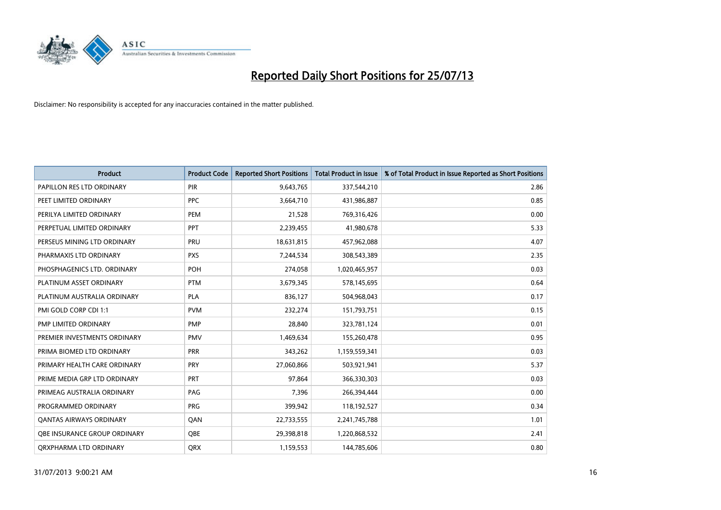

| <b>Product</b>                 | <b>Product Code</b> | <b>Reported Short Positions</b> | <b>Total Product in Issue</b> | % of Total Product in Issue Reported as Short Positions |
|--------------------------------|---------------------|---------------------------------|-------------------------------|---------------------------------------------------------|
| PAPILLON RES LTD ORDINARY      | <b>PIR</b>          | 9,643,765                       | 337,544,210                   | 2.86                                                    |
| PEET LIMITED ORDINARY          | <b>PPC</b>          | 3,664,710                       | 431,986,887                   | 0.85                                                    |
| PERILYA LIMITED ORDINARY       | PEM                 | 21,528                          | 769,316,426                   | 0.00                                                    |
| PERPETUAL LIMITED ORDINARY     | <b>PPT</b>          | 2,239,455                       | 41,980,678                    | 5.33                                                    |
| PERSEUS MINING LTD ORDINARY    | PRU                 | 18,631,815                      | 457,962,088                   | 4.07                                                    |
| PHARMAXIS LTD ORDINARY         | <b>PXS</b>          | 7,244,534                       | 308,543,389                   | 2.35                                                    |
| PHOSPHAGENICS LTD. ORDINARY    | <b>POH</b>          | 274,058                         | 1,020,465,957                 | 0.03                                                    |
| PLATINUM ASSET ORDINARY        | <b>PTM</b>          | 3,679,345                       | 578,145,695                   | 0.64                                                    |
| PLATINUM AUSTRALIA ORDINARY    | <b>PLA</b>          | 836,127                         | 504,968,043                   | 0.17                                                    |
| PMI GOLD CORP CDI 1:1          | <b>PVM</b>          | 232,274                         | 151,793,751                   | 0.15                                                    |
| PMP LIMITED ORDINARY           | PMP                 | 28,840                          | 323,781,124                   | 0.01                                                    |
| PREMIER INVESTMENTS ORDINARY   | <b>PMV</b>          | 1,469,634                       | 155,260,478                   | 0.95                                                    |
| PRIMA BIOMED LTD ORDINARY      | PRR                 | 343,262                         | 1,159,559,341                 | 0.03                                                    |
| PRIMARY HEALTH CARE ORDINARY   | <b>PRY</b>          | 27,060,866                      | 503,921,941                   | 5.37                                                    |
| PRIME MEDIA GRP LTD ORDINARY   | <b>PRT</b>          | 97,864                          | 366,330,303                   | 0.03                                                    |
| PRIMEAG AUSTRALIA ORDINARY     | PAG                 | 7,396                           | 266,394,444                   | 0.00                                                    |
| PROGRAMMED ORDINARY            | <b>PRG</b>          | 399,942                         | 118,192,527                   | 0.34                                                    |
| <b>QANTAS AIRWAYS ORDINARY</b> | QAN                 | 22,733,555                      | 2,241,745,788                 | 1.01                                                    |
| OBE INSURANCE GROUP ORDINARY   | <b>OBE</b>          | 29,398,818                      | 1,220,868,532                 | 2.41                                                    |
| ORXPHARMA LTD ORDINARY         | <b>ORX</b>          | 1,159,553                       | 144,785,606                   | 0.80                                                    |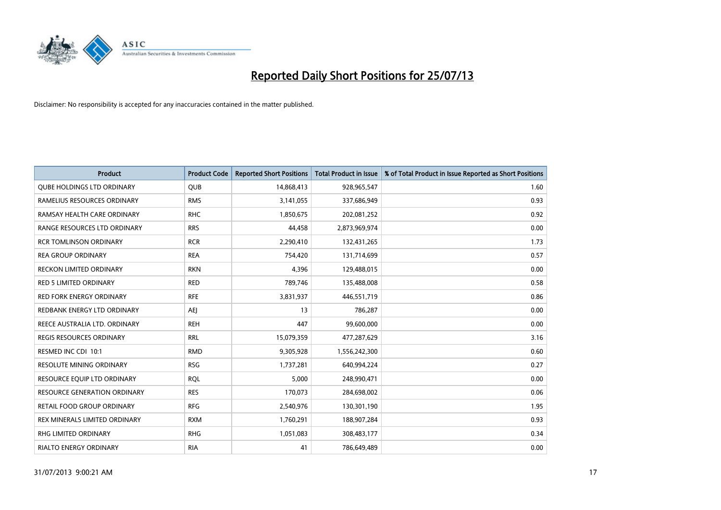

| <b>Product</b>                    | <b>Product Code</b> | <b>Reported Short Positions</b> | <b>Total Product in Issue</b> | % of Total Product in Issue Reported as Short Positions |
|-----------------------------------|---------------------|---------------------------------|-------------------------------|---------------------------------------------------------|
| <b>QUBE HOLDINGS LTD ORDINARY</b> | QUB                 | 14,868,413                      | 928,965,547                   | 1.60                                                    |
| RAMELIUS RESOURCES ORDINARY       | <b>RMS</b>          | 3,141,055                       | 337,686,949                   | 0.93                                                    |
| RAMSAY HEALTH CARE ORDINARY       | <b>RHC</b>          | 1,850,675                       | 202,081,252                   | 0.92                                                    |
| RANGE RESOURCES LTD ORDINARY      | <b>RRS</b>          | 44,458                          | 2,873,969,974                 | 0.00                                                    |
| <b>RCR TOMLINSON ORDINARY</b>     | <b>RCR</b>          | 2,290,410                       | 132,431,265                   | 1.73                                                    |
| <b>REA GROUP ORDINARY</b>         | <b>REA</b>          | 754,420                         | 131,714,699                   | 0.57                                                    |
| RECKON LIMITED ORDINARY           | <b>RKN</b>          | 4,396                           | 129,488,015                   | 0.00                                                    |
| RED 5 LIMITED ORDINARY            | <b>RED</b>          | 789,746                         | 135,488,008                   | 0.58                                                    |
| <b>RED FORK ENERGY ORDINARY</b>   | <b>RFE</b>          | 3,831,937                       | 446,551,719                   | 0.86                                                    |
| REDBANK ENERGY LTD ORDINARY       | AEJ                 | 13                              | 786,287                       | 0.00                                                    |
| REECE AUSTRALIA LTD. ORDINARY     | <b>REH</b>          | 447                             | 99,600,000                    | 0.00                                                    |
| <b>REGIS RESOURCES ORDINARY</b>   | <b>RRL</b>          | 15,079,359                      | 477,287,629                   | 3.16                                                    |
| RESMED INC CDI 10:1               | <b>RMD</b>          | 9,305,928                       | 1,556,242,300                 | 0.60                                                    |
| RESOLUTE MINING ORDINARY          | <b>RSG</b>          | 1,737,281                       | 640,994,224                   | 0.27                                                    |
| RESOURCE EQUIP LTD ORDINARY       | <b>RQL</b>          | 5,000                           | 248,990,471                   | 0.00                                                    |
| RESOURCE GENERATION ORDINARY      | <b>RES</b>          | 170,073                         | 284,698,002                   | 0.06                                                    |
| RETAIL FOOD GROUP ORDINARY        | <b>RFG</b>          | 2,540,976                       | 130,301,190                   | 1.95                                                    |
| REX MINERALS LIMITED ORDINARY     | <b>RXM</b>          | 1,760,291                       | 188,907,284                   | 0.93                                                    |
| RHG LIMITED ORDINARY              | <b>RHG</b>          | 1,051,083                       | 308,483,177                   | 0.34                                                    |
| RIALTO ENERGY ORDINARY            | <b>RIA</b>          | 41                              | 786,649,489                   | 0.00                                                    |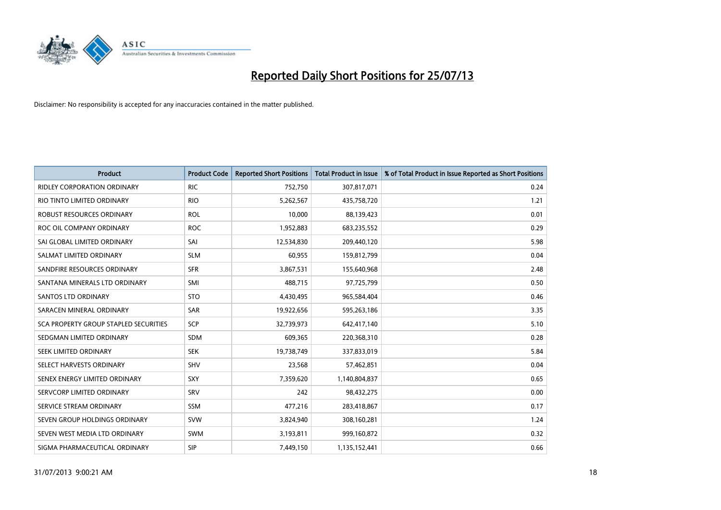

| <b>Product</b>                        | <b>Product Code</b> | <b>Reported Short Positions</b> | <b>Total Product in Issue</b> | % of Total Product in Issue Reported as Short Positions |
|---------------------------------------|---------------------|---------------------------------|-------------------------------|---------------------------------------------------------|
| <b>RIDLEY CORPORATION ORDINARY</b>    | <b>RIC</b>          | 752,750                         | 307,817,071                   | 0.24                                                    |
| RIO TINTO LIMITED ORDINARY            | <b>RIO</b>          | 5,262,567                       | 435,758,720                   | 1.21                                                    |
| ROBUST RESOURCES ORDINARY             | <b>ROL</b>          | 10,000                          | 88,139,423                    | 0.01                                                    |
| ROC OIL COMPANY ORDINARY              | <b>ROC</b>          | 1,952,883                       | 683,235,552                   | 0.29                                                    |
| SAI GLOBAL LIMITED ORDINARY           | SAI                 | 12,534,830                      | 209,440,120                   | 5.98                                                    |
| SALMAT LIMITED ORDINARY               | <b>SLM</b>          | 60,955                          | 159,812,799                   | 0.04                                                    |
| SANDFIRE RESOURCES ORDINARY           | <b>SFR</b>          | 3,867,531                       | 155,640,968                   | 2.48                                                    |
| SANTANA MINERALS LTD ORDINARY         | SMI                 | 488,715                         | 97,725,799                    | 0.50                                                    |
| <b>SANTOS LTD ORDINARY</b>            | <b>STO</b>          | 4,430,495                       | 965,584,404                   | 0.46                                                    |
| SARACEN MINERAL ORDINARY              | SAR                 | 19,922,656                      | 595,263,186                   | 3.35                                                    |
| SCA PROPERTY GROUP STAPLED SECURITIES | SCP                 | 32,739,973                      | 642,417,140                   | 5.10                                                    |
| SEDGMAN LIMITED ORDINARY              | <b>SDM</b>          | 609,365                         | 220,368,310                   | 0.28                                                    |
| <b>SEEK LIMITED ORDINARY</b>          | <b>SEK</b>          | 19,738,749                      | 337,833,019                   | 5.84                                                    |
| SELECT HARVESTS ORDINARY              | SHV                 | 23,568                          | 57,462,851                    | 0.04                                                    |
| SENEX ENERGY LIMITED ORDINARY         | <b>SXY</b>          | 7,359,620                       | 1,140,804,837                 | 0.65                                                    |
| SERVCORP LIMITED ORDINARY             | SRV                 | 242                             | 98,432,275                    | 0.00                                                    |
| SERVICE STREAM ORDINARY               | SSM                 | 477,216                         | 283,418,867                   | 0.17                                                    |
| SEVEN GROUP HOLDINGS ORDINARY         | <b>SVW</b>          | 3,824,940                       | 308,160,281                   | 1.24                                                    |
| SEVEN WEST MEDIA LTD ORDINARY         | <b>SWM</b>          | 3,193,811                       | 999,160,872                   | 0.32                                                    |
| SIGMA PHARMACEUTICAL ORDINARY         | <b>SIP</b>          | 7,449,150                       | 1,135,152,441                 | 0.66                                                    |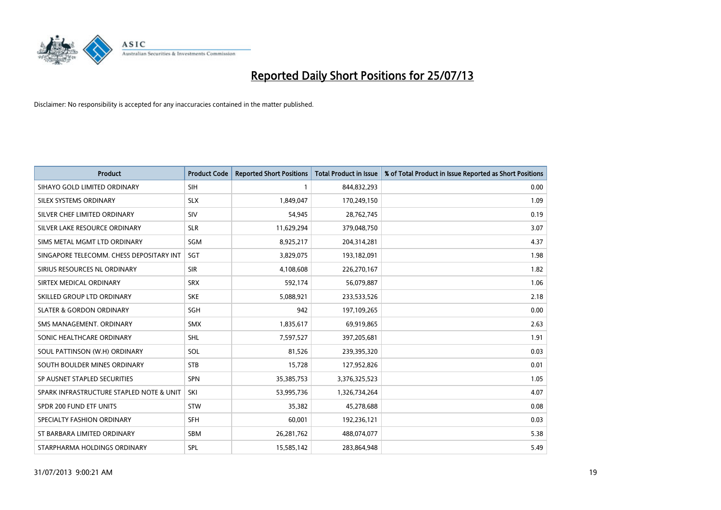

| <b>Product</b>                           | <b>Product Code</b> | <b>Reported Short Positions</b> | <b>Total Product in Issue</b> | % of Total Product in Issue Reported as Short Positions |
|------------------------------------------|---------------------|---------------------------------|-------------------------------|---------------------------------------------------------|
| SIHAYO GOLD LIMITED ORDINARY             | SIH                 |                                 | 844,832,293                   | 0.00                                                    |
| SILEX SYSTEMS ORDINARY                   | <b>SLX</b>          | 1,849,047                       | 170,249,150                   | 1.09                                                    |
| SILVER CHEF LIMITED ORDINARY             | SIV                 | 54,945                          | 28,762,745                    | 0.19                                                    |
| SILVER LAKE RESOURCE ORDINARY            | <b>SLR</b>          | 11,629,294                      | 379,048,750                   | 3.07                                                    |
| SIMS METAL MGMT LTD ORDINARY             | <b>SGM</b>          | 8,925,217                       | 204,314,281                   | 4.37                                                    |
| SINGAPORE TELECOMM. CHESS DEPOSITARY INT | SGT                 | 3,829,075                       | 193,182,091                   | 1.98                                                    |
| SIRIUS RESOURCES NL ORDINARY             | <b>SIR</b>          | 4,108,608                       | 226,270,167                   | 1.82                                                    |
| SIRTEX MEDICAL ORDINARY                  | <b>SRX</b>          | 592,174                         | 56,079,887                    | 1.06                                                    |
| SKILLED GROUP LTD ORDINARY               | <b>SKE</b>          | 5,088,921                       | 233,533,526                   | 2.18                                                    |
| <b>SLATER &amp; GORDON ORDINARY</b>      | SGH                 | 942                             | 197,109,265                   | 0.00                                                    |
| SMS MANAGEMENT, ORDINARY                 | <b>SMX</b>          | 1,835,617                       | 69,919,865                    | 2.63                                                    |
| SONIC HEALTHCARE ORDINARY                | <b>SHL</b>          | 7,597,527                       | 397,205,681                   | 1.91                                                    |
| SOUL PATTINSON (W.H) ORDINARY            | SOL                 | 81,526                          | 239,395,320                   | 0.03                                                    |
| SOUTH BOULDER MINES ORDINARY             | <b>STB</b>          | 15,728                          | 127,952,826                   | 0.01                                                    |
| SP AUSNET STAPLED SECURITIES             | <b>SPN</b>          | 35,385,753                      | 3,376,325,523                 | 1.05                                                    |
| SPARK INFRASTRUCTURE STAPLED NOTE & UNIT | <b>SKI</b>          | 53,995,736                      | 1,326,734,264                 | 4.07                                                    |
| SPDR 200 FUND ETF UNITS                  | <b>STW</b>          | 35,382                          | 45,278,688                    | 0.08                                                    |
| SPECIALTY FASHION ORDINARY               | <b>SFH</b>          | 60,001                          | 192,236,121                   | 0.03                                                    |
| ST BARBARA LIMITED ORDINARY              | SBM                 | 26,281,762                      | 488,074,077                   | 5.38                                                    |
| STARPHARMA HOLDINGS ORDINARY             | SPL                 | 15,585,142                      | 283,864,948                   | 5.49                                                    |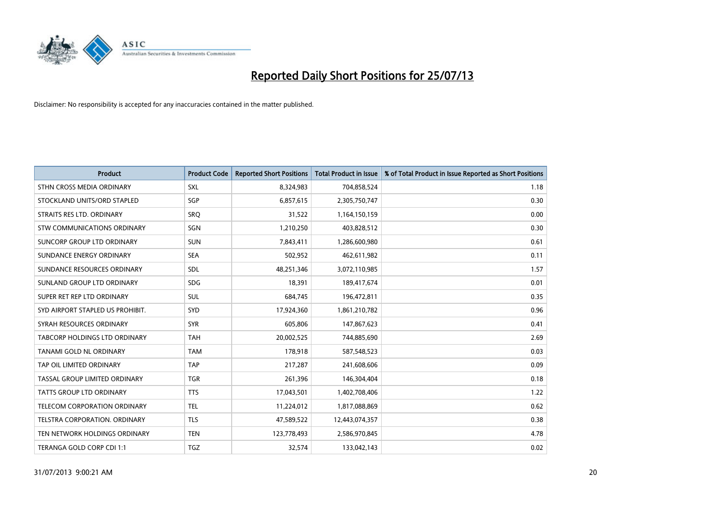

| <b>Product</b>                       | <b>Product Code</b> | <b>Reported Short Positions</b> | <b>Total Product in Issue</b> | % of Total Product in Issue Reported as Short Positions |
|--------------------------------------|---------------------|---------------------------------|-------------------------------|---------------------------------------------------------|
| STHN CROSS MEDIA ORDINARY            | <b>SXL</b>          | 8,324,983                       | 704,858,524                   | 1.18                                                    |
| STOCKLAND UNITS/ORD STAPLED          | <b>SGP</b>          | 6,857,615                       | 2,305,750,747                 | 0.30                                                    |
| STRAITS RES LTD. ORDINARY            | SRO                 | 31,522                          | 1,164,150,159                 | 0.00                                                    |
| STW COMMUNICATIONS ORDINARY          | SGN                 | 1,210,250                       | 403,828,512                   | 0.30                                                    |
| SUNCORP GROUP LTD ORDINARY           | <b>SUN</b>          | 7,843,411                       | 1,286,600,980                 | 0.61                                                    |
| SUNDANCE ENERGY ORDINARY             | <b>SEA</b>          | 502,952                         | 462,611,982                   | 0.11                                                    |
| SUNDANCE RESOURCES ORDINARY          | <b>SDL</b>          | 48,251,346                      | 3,072,110,985                 | 1.57                                                    |
| SUNLAND GROUP LTD ORDINARY           | <b>SDG</b>          | 18,391                          | 189,417,674                   | 0.01                                                    |
| SUPER RET REP LTD ORDINARY           | <b>SUL</b>          | 684,745                         | 196,472,811                   | 0.35                                                    |
| SYD AIRPORT STAPLED US PROHIBIT.     | <b>SYD</b>          | 17,924,360                      | 1,861,210,782                 | 0.96                                                    |
| SYRAH RESOURCES ORDINARY             | <b>SYR</b>          | 605,806                         | 147,867,623                   | 0.41                                                    |
| <b>TABCORP HOLDINGS LTD ORDINARY</b> | <b>TAH</b>          | 20,002,525                      | 744,885,690                   | 2.69                                                    |
| TANAMI GOLD NL ORDINARY              | <b>TAM</b>          | 178,918                         | 587,548,523                   | 0.03                                                    |
| TAP OIL LIMITED ORDINARY             | <b>TAP</b>          | 217,287                         | 241,608,606                   | 0.09                                                    |
| TASSAL GROUP LIMITED ORDINARY        | <b>TGR</b>          | 261,396                         | 146,304,404                   | 0.18                                                    |
| TATTS GROUP LTD ORDINARY             | <b>TTS</b>          | 17,043,501                      | 1,402,708,406                 | 1.22                                                    |
| TELECOM CORPORATION ORDINARY         | <b>TEL</b>          | 11,224,012                      | 1,817,088,869                 | 0.62                                                    |
| TELSTRA CORPORATION. ORDINARY        | <b>TLS</b>          | 47,589,522                      | 12,443,074,357                | 0.38                                                    |
| TEN NETWORK HOLDINGS ORDINARY        | <b>TEN</b>          | 123,778,493                     | 2,586,970,845                 | 4.78                                                    |
| TERANGA GOLD CORP CDI 1:1            | <b>TGZ</b>          | 32,574                          | 133,042,143                   | 0.02                                                    |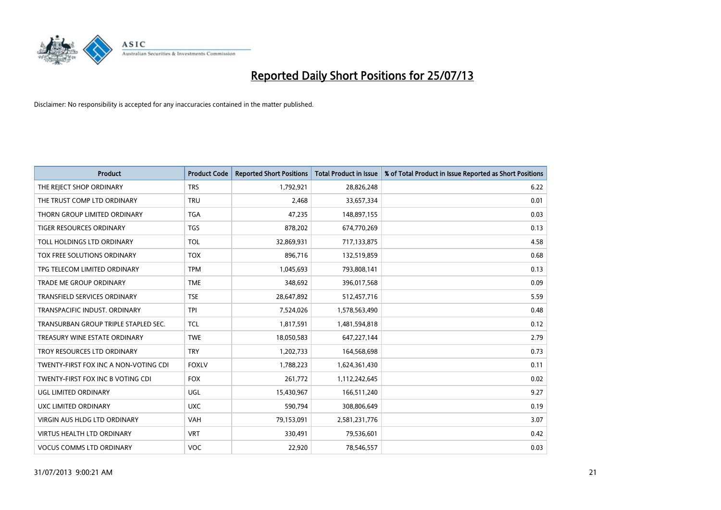

| <b>Product</b>                        | <b>Product Code</b> | <b>Reported Short Positions</b> | <b>Total Product in Issue</b> | % of Total Product in Issue Reported as Short Positions |
|---------------------------------------|---------------------|---------------------------------|-------------------------------|---------------------------------------------------------|
| THE REJECT SHOP ORDINARY              | <b>TRS</b>          | 1,792,921                       | 28,826,248                    | 6.22                                                    |
| THE TRUST COMP LTD ORDINARY           | <b>TRU</b>          | 2,468                           | 33,657,334                    | 0.01                                                    |
| THORN GROUP LIMITED ORDINARY          | <b>TGA</b>          | 47,235                          | 148,897,155                   | 0.03                                                    |
| TIGER RESOURCES ORDINARY              | <b>TGS</b>          | 878,202                         | 674,770,269                   | 0.13                                                    |
| <b>TOLL HOLDINGS LTD ORDINARY</b>     | <b>TOL</b>          | 32,869,931                      | 717,133,875                   | 4.58                                                    |
| TOX FREE SOLUTIONS ORDINARY           | <b>TOX</b>          | 896,716                         | 132,519,859                   | 0.68                                                    |
| TPG TELECOM LIMITED ORDINARY          | <b>TPM</b>          | 1,045,693                       | 793,808,141                   | 0.13                                                    |
| TRADE ME GROUP ORDINARY               | <b>TME</b>          | 348,692                         | 396,017,568                   | 0.09                                                    |
| <b>TRANSFIELD SERVICES ORDINARY</b>   | <b>TSE</b>          | 28,647,892                      | 512,457,716                   | 5.59                                                    |
| TRANSPACIFIC INDUST, ORDINARY         | <b>TPI</b>          | 7,524,026                       | 1,578,563,490                 | 0.48                                                    |
| TRANSURBAN GROUP TRIPLE STAPLED SEC.  | <b>TCL</b>          | 1,817,591                       | 1,481,594,818                 | 0.12                                                    |
| TREASURY WINE ESTATE ORDINARY         | <b>TWE</b>          | 18,050,583                      | 647, 227, 144                 | 2.79                                                    |
| TROY RESOURCES LTD ORDINARY           | <b>TRY</b>          | 1,202,733                       | 164,568,698                   | 0.73                                                    |
| TWENTY-FIRST FOX INC A NON-VOTING CDI | <b>FOXLV</b>        | 1,788,223                       | 1,624,361,430                 | 0.11                                                    |
| TWENTY-FIRST FOX INC B VOTING CDI     | <b>FOX</b>          | 261,772                         | 1,112,242,645                 | 0.02                                                    |
| UGL LIMITED ORDINARY                  | UGL                 | 15,430,967                      | 166,511,240                   | 9.27                                                    |
| UXC LIMITED ORDINARY                  | <b>UXC</b>          | 590,794                         | 308,806,649                   | 0.19                                                    |
| VIRGIN AUS HLDG LTD ORDINARY          | <b>VAH</b>          | 79,153,091                      | 2,581,231,776                 | 3.07                                                    |
| <b>VIRTUS HEALTH LTD ORDINARY</b>     | <b>VRT</b>          | 330,491                         | 79,536,601                    | 0.42                                                    |
| <b>VOCUS COMMS LTD ORDINARY</b>       | <b>VOC</b>          | 22,920                          | 78,546,557                    | 0.03                                                    |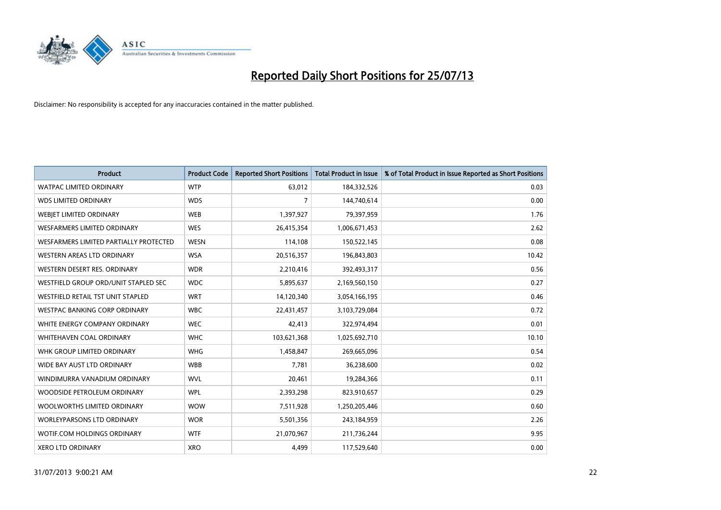

| <b>Product</b>                                | <b>Product Code</b> | <b>Reported Short Positions</b> | <b>Total Product in Issue</b> | % of Total Product in Issue Reported as Short Positions |
|-----------------------------------------------|---------------------|---------------------------------|-------------------------------|---------------------------------------------------------|
| <b>WATPAC LIMITED ORDINARY</b>                | <b>WTP</b>          | 63,012                          | 184,332,526                   | 0.03                                                    |
| <b>WDS LIMITED ORDINARY</b>                   | <b>WDS</b>          | 7                               | 144,740,614                   | 0.00                                                    |
| WEBIET LIMITED ORDINARY                       | <b>WEB</b>          | 1,397,927                       | 79,397,959                    | 1.76                                                    |
| <b>WESFARMERS LIMITED ORDINARY</b>            | <b>WES</b>          | 26,415,354                      | 1,006,671,453                 | 2.62                                                    |
| <b>WESFARMERS LIMITED PARTIALLY PROTECTED</b> | <b>WESN</b>         | 114,108                         | 150,522,145                   | 0.08                                                    |
| <b>WESTERN AREAS LTD ORDINARY</b>             | <b>WSA</b>          | 20,516,357                      | 196,843,803                   | 10.42                                                   |
| WESTERN DESERT RES. ORDINARY                  | <b>WDR</b>          | 2,210,416                       | 392,493,317                   | 0.56                                                    |
| WESTFIELD GROUP ORD/UNIT STAPLED SEC          | <b>WDC</b>          | 5,895,637                       | 2,169,560,150                 | 0.27                                                    |
| WESTFIELD RETAIL TST UNIT STAPLED             | <b>WRT</b>          | 14,120,340                      | 3,054,166,195                 | 0.46                                                    |
| <b>WESTPAC BANKING CORP ORDINARY</b>          | <b>WBC</b>          | 22,431,457                      | 3,103,729,084                 | 0.72                                                    |
| WHITE ENERGY COMPANY ORDINARY                 | <b>WEC</b>          | 42,413                          | 322,974,494                   | 0.01                                                    |
| <b>WHITEHAVEN COAL ORDINARY</b>               | <b>WHC</b>          | 103,621,368                     | 1,025,692,710                 | 10.10                                                   |
| WHK GROUP LIMITED ORDINARY                    | <b>WHG</b>          | 1,458,847                       | 269,665,096                   | 0.54                                                    |
| WIDE BAY AUST LTD ORDINARY                    | <b>WBB</b>          | 7,781                           | 36,238,600                    | 0.02                                                    |
| WINDIMURRA VANADIUM ORDINARY                  | <b>WVL</b>          | 20,461                          | 19,284,366                    | 0.11                                                    |
| WOODSIDE PETROLEUM ORDINARY                   | <b>WPL</b>          | 2,393,298                       | 823,910,657                   | 0.29                                                    |
| WOOLWORTHS LIMITED ORDINARY                   | <b>WOW</b>          | 7,511,928                       | 1,250,205,446                 | 0.60                                                    |
| WORLEYPARSONS LTD ORDINARY                    | <b>WOR</b>          | 5,501,356                       | 243,184,959                   | 2.26                                                    |
| <b>WOTIF.COM HOLDINGS ORDINARY</b>            | <b>WTF</b>          | 21,070,967                      | 211,736,244                   | 9.95                                                    |
| <b>XERO LTD ORDINARY</b>                      | <b>XRO</b>          | 4,499                           | 117,529,640                   | 0.00                                                    |